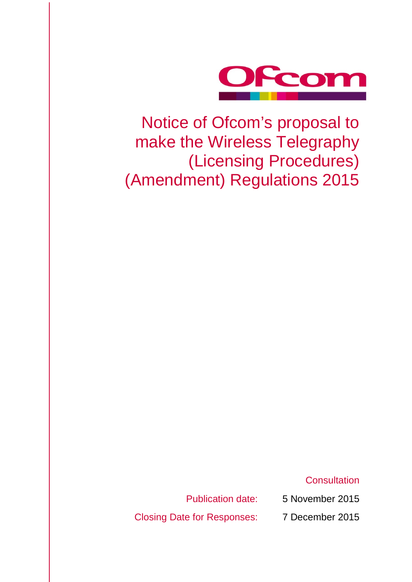

Notice of Ofcom's proposal to make the Wireless Telegraphy (Licensing Procedures) (Amendment) Regulations 2015

**Consultation** 

Publication date: 5 November 2015

Closing Date for Responses: 7 December 2015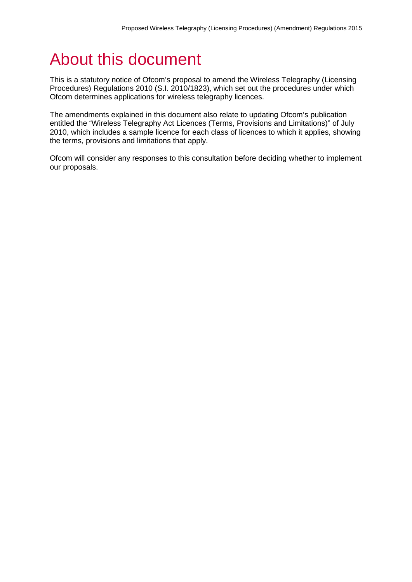# About this document

This is a statutory notice of Ofcom's proposal to amend the Wireless Telegraphy (Licensing Procedures) Regulations 2010 (S.I. 2010/1823), which set out the procedures under which Ofcom determines applications for wireless telegraphy licences.

The amendments explained in this document also relate to updating Ofcom's publication entitled the "Wireless Telegraphy Act Licences (Terms, Provisions and Limitations)" of July 2010, which includes a sample licence for each class of licences to which it applies, showing the terms, provisions and limitations that apply.

Ofcom will consider any responses to this consultation before deciding whether to implement our proposals.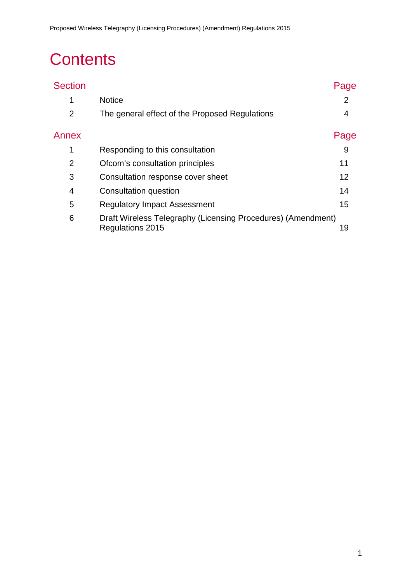# **Contents**

| <b>Section</b> |                                                                                  | Page           |
|----------------|----------------------------------------------------------------------------------|----------------|
| 1              | <b>Notice</b>                                                                    | $\overline{2}$ |
| $\overline{2}$ | The general effect of the Proposed Regulations                                   | 4              |
| Annex          |                                                                                  | Page           |
| 1              | Responding to this consultation                                                  | 9              |
| $\overline{2}$ | Ofcom's consultation principles                                                  | 11             |
| 3              | Consultation response cover sheet                                                | 12             |
| 4              | Consultation question                                                            | 14             |
| 5              | <b>Regulatory Impact Assessment</b>                                              | 15             |
| 6              | Draft Wireless Telegraphy (Licensing Procedures) (Amendment)<br>Regulations 2015 | 19             |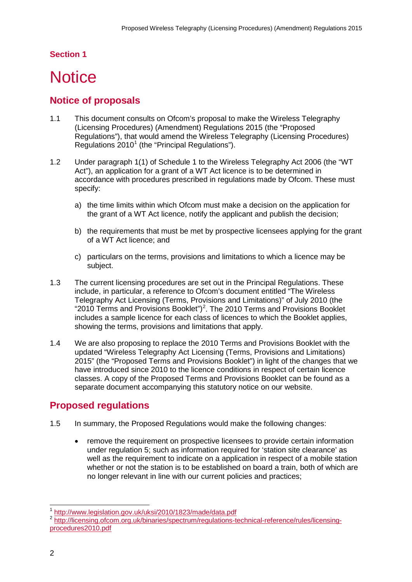### **Section 1**

# <span id="page-4-0"></span>**Notice**

## **Notice of proposals**

- 1.1 This document consults on Ofcom's proposal to make the Wireless Telegraphy (Licensing Procedures) (Amendment) Regulations 2015 (the "Proposed Regulations"), that would amend the Wireless Telegraphy (Licensing Procedures) Regulations  $2010<sup>1</sup>$  $2010<sup>1</sup>$  $2010<sup>1</sup>$  (the "Principal Regulations").
- 1.2 Under paragraph 1(1) of Schedule 1 to the Wireless Telegraphy Act 2006 (the "WT Act"), an application for a grant of a WT Act licence is to be determined in accordance with procedures prescribed in regulations made by Ofcom. These must specify:
	- a) the time limits within which Ofcom must make a decision on the application for the grant of a WT Act licence, notify the applicant and publish the decision;
	- b) the requirements that must be met by prospective licensees applying for the grant of a WT Act licence; and
	- c) particulars on the terms, provisions and limitations to which a licence may be subject.
- 1.3 The current licensing procedures are set out in the Principal Regulations. These include, in particular, a reference to Ofcom's document entitled "The Wireless Telegraphy Act Licensing (Terms, Provisions and Limitations)" of July 2010 (the "[2](#page-4-2)010 Terms and Provisions Booklet")<sup>2</sup>. The 2010 Terms and Provisions Booklet includes a sample licence for each class of licences to which the Booklet applies, showing the terms, provisions and limitations that apply.
- 1.4 We are also proposing to replace the 2010 Terms and Provisions Booklet with the updated "Wireless Telegraphy Act Licensing (Terms, Provisions and Limitations) 2015" (the "Proposed Terms and Provisions Booklet") in light of the changes that we have introduced since 2010 to the licence conditions in respect of certain licence classes. A copy of the Proposed Terms and Provisions Booklet can be found as a separate document accompanying this statutory notice on our website.

# **Proposed regulations**

- 1.5 In summary, the Proposed Regulations would make the following changes:
	- remove the requirement on prospective licensees to provide certain information under regulation 5; such as information required for 'station site clearance' as well as the requirement to indicate on a application in respect of a mobile station whether or not the station is to be established on board a train, both of which are no longer relevant in line with our current policies and practices;

<sup>1</sup> <http://www.legislation.gov.uk/uksi/2010/1823/made/data.pdf>  $\overline{a}$ 

<span id="page-4-2"></span><span id="page-4-1"></span><sup>2</sup> [http://licensing.ofcom.org.uk/binaries/spectrum/regulations-technical-reference/rules/licensing](http://licensing.ofcom.org.uk/binaries/spectrum/regulations-technical-reference/rules/licensing-procedures2010.pdf)[procedures2010.pdf](http://licensing.ofcom.org.uk/binaries/spectrum/regulations-technical-reference/rules/licensing-procedures2010.pdf)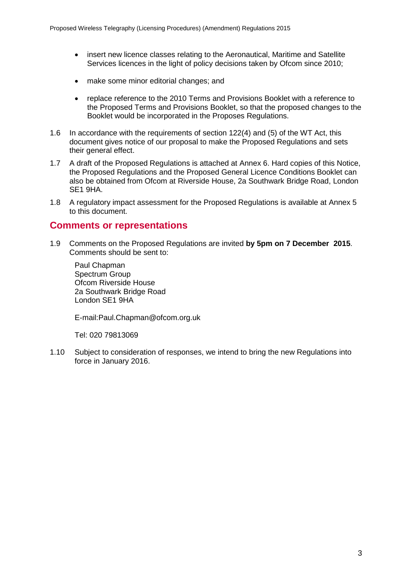- insert new licence classes relating to the Aeronautical, Maritime and Satellite Services licences in the light of policy decisions taken by Ofcom since 2010;
- make some minor editorial changes; and
- replace reference to the 2010 Terms and Provisions Booklet with a reference to the Proposed Terms and Provisions Booklet, so that the proposed changes to the Booklet would be incorporated in the Proposes Regulations.
- 1.6 In accordance with the requirements of section 122(4) and (5) of the WT Act, this document gives notice of our proposal to make the Proposed Regulations and sets their general effect.
- 1.7 A draft of the Proposed Regulations is attached at Annex 6. Hard copies of this Notice, the Proposed Regulations and the Proposed General Licence Conditions Booklet can also be obtained from Ofcom at Riverside House, 2a Southwark Bridge Road, London SE1 9HA.
- 1.8 A regulatory impact assessment for the Proposed Regulations is available at Annex 5 to this document.

### **Comments or representations**

1.9 Comments on the Proposed Regulations are invited **by 5pm on 7 December 2015**. Comments should be sent to:

Paul Chapman Spectrum Group Ofcom Riverside House 2a Southwark Bridge Road London SE1 9HA

E-mail:Paul.Chapman@ofcom.org.uk

Tel: 020 79813069

1.10 Subject to consideration of responses, we intend to bring the new Regulations into force in January 2016.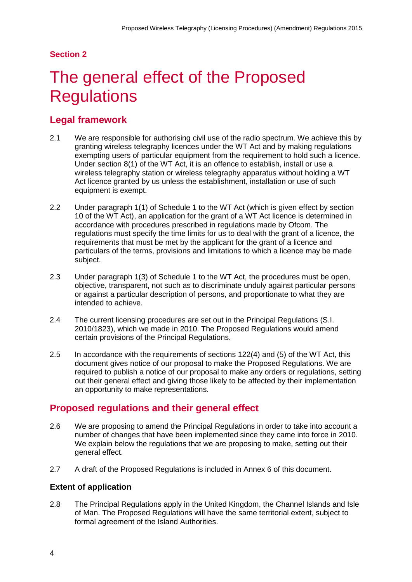### **Section 2**

# <span id="page-6-0"></span>The general effect of the Proposed **Regulations**

## **Legal framework**

- 2.1 We are responsible for authorising civil use of the radio spectrum. We achieve this by granting wireless telegraphy licences under the WT Act and by making regulations exempting users of particular equipment from the requirement to hold such a licence. Under section 8(1) of the WT Act, it is an offence to establish, install or use a wireless telegraphy station or wireless telegraphy apparatus without holding a WT Act licence granted by us unless the establishment, installation or use of such equipment is exempt.
- 2.2 Under paragraph 1(1) of Schedule 1 to the WT Act (which is given effect by section 10 of the WT Act), an application for the grant of a WT Act licence is determined in accordance with procedures prescribed in regulations made by Ofcom. The regulations must specify the time limits for us to deal with the grant of a licence, the requirements that must be met by the applicant for the grant of a licence and particulars of the terms, provisions and limitations to which a licence may be made subject.
- 2.3 Under paragraph 1(3) of Schedule 1 to the WT Act, the procedures must be open, objective, transparent, not such as to discriminate unduly against particular persons or against a particular description of persons, and proportionate to what they are intended to achieve.
- 2.4 The current licensing procedures are set out in the Principal Regulations (S.I. 2010/1823), which we made in 2010. The Proposed Regulations would amend certain provisions of the Principal Regulations.
- 2.5 In accordance with the requirements of sections 122(4) and (5) of the WT Act, this document gives notice of our proposal to make the Proposed Regulations. We are required to publish a notice of our proposal to make any orders or regulations, setting out their general effect and giving those likely to be affected by their implementation an opportunity to make representations.

## **Proposed regulations and their general effect**

- 2.6 We are proposing to amend the Principal Regulations in order to take into account a number of changes that have been implemented since they came into force in 2010. We explain below the regulations that we are proposing to make, setting out their general effect.
- 2.7 A draft of the Proposed Regulations is included in Annex 6 of this document.

### **Extent of application**

2.8 The Principal Regulations apply in the United Kingdom, the Channel Islands and Isle of Man. The Proposed Regulations will have the same territorial extent, subject to formal agreement of the Island Authorities.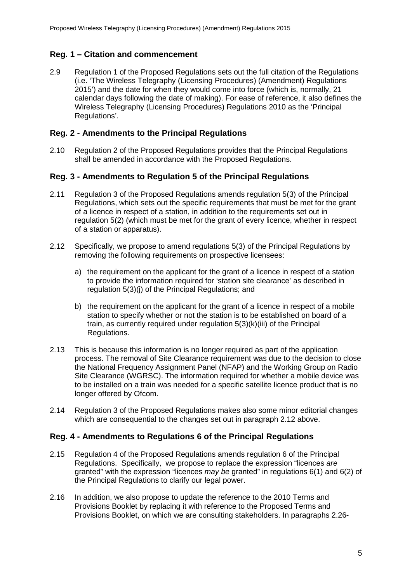### **Reg. 1 – Citation and commencement**

2.9 Regulation 1 of the Proposed Regulations sets out the full citation of the Regulations (i.e. 'The Wireless Telegraphy (Licensing Procedures) (Amendment) Regulations 2015') and the date for when they would come into force (which is, normally, 21 calendar days following the date of making). For ease of reference, it also defines the Wireless Telegraphy (Licensing Procedures) Regulations 2010 as the 'Principal Regulations'.

### **Reg. 2 - Amendments to the Principal Regulations**

2.10 Regulation 2 of the Proposed Regulations provides that the Principal Regulations shall be amended in accordance with the Proposed Regulations.

### **Reg. 3 - Amendments to Regulation 5 of the Principal Regulations**

- 2.11 Regulation 3 of the Proposed Regulations amends regulation 5(3) of the Principal Regulations, which sets out the specific requirements that must be met for the grant of a licence in respect of a station, in addition to the requirements set out in regulation 5(2) (which must be met for the grant of every licence, whether in respect of a station or apparatus).
- <span id="page-7-0"></span>2.12 Specifically, we propose to amend regulations 5(3) of the Principal Regulations by removing the following requirements on prospective licensees:
	- a) the requirement on the applicant for the grant of a licence in respect of a station to provide the information required for 'station site clearance' as described in regulation 5(3)(j) of the Principal Regulations; and
	- b) the requirement on the applicant for the grant of a licence in respect of a mobile station to specify whether or not the station is to be established on board of a train, as currently required under regulation 5(3)(k)(iii) of the Principal Regulations.
- 2.13 This is because this information is no longer required as part of the application process. The removal of Site Clearance requirement was due to the decision to close the National Frequency Assignment Panel (NFAP) and the Working Group on Radio Site Clearance (WGRSC). The information required for whether a mobile device was to be installed on a train was needed for a specific satellite licence product that is no longer offered by Ofcom.
- 2.14 Regulation 3 of the Proposed Regulations makes also some minor editorial changes which are consequential to the changes set out in paragraph [2.12](#page-7-0) above.

### **Reg. 4 - Amendments to Regulations 6 of the Principal Regulations**

- 2.15 Regulation 4 of the Proposed Regulations amends regulation 6 of the Principal Regulations. Specifically, we propose to replace the expression "licences *are*  granted" with the expression "licences *may be* granted" in regulations 6(1) and 6(2) of the Principal Regulations to clarify our legal power.
- 2.16 In addition, we also propose to update the reference to the 2010 Terms and Provisions Booklet by replacing it with reference to the Proposed Terms and Provisions Booklet, on which we are consulting stakeholders. In paragraphs [2.26-](#page-10-0)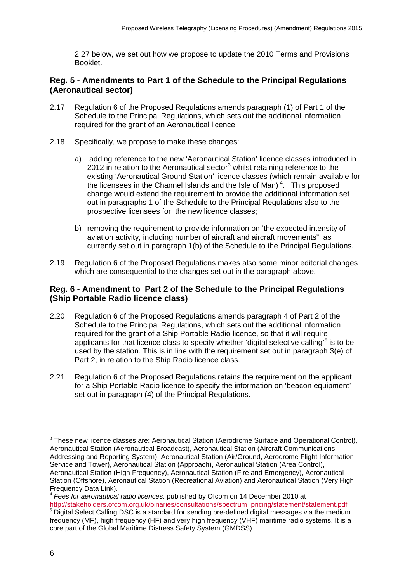[2.27](#page-10-1) below, we set out how we propose to update the 2010 Terms and Provisions Booklet.

### **Reg. 5 - Amendments to Part 1 of the Schedule to the Principal Regulations (Aeronautical sector)**

- 2.17 Regulation 6 of the Proposed Regulations amends paragraph (1) of Part 1 of the Schedule to the Principal Regulations, which sets out the additional information required for the grant of an Aeronautical licence.
- 2.18 Specifically, we propose to make these changes:
	- a) adding reference to the new 'Aeronautical Station' licence classes introduced in 2012 in relation to the Aeronautical sector $3$  whilst retaining reference to the existing 'Aeronautical Ground Station' licence classes (which remain available for the licensees in the Channel Islands and the Isle of Man)<sup>[4](#page-8-1)</sup>. This proposed change would extend the requirement to provide the additional information set out in paragraphs 1 of the Schedule to the Principal Regulations also to the prospective licensees for the new licence classes;
	- b) removing the requirement to provide information on 'the expected intensity of aviation activity, including number of aircraft and aircraft movements", as currently set out in paragraph 1(b) of the Schedule to the Principal Regulations.
- 2.19 Regulation 6 of the Proposed Regulations makes also some minor editorial changes which are consequential to the changes set out in the paragraph above.

### **Reg. 6 - Amendment to Part 2 of the Schedule to the Principal Regulations (Ship Portable Radio licence class)**

- 2.20 Regulation 6 of the Proposed Regulations amends paragraph 4 of Part 2 of the Schedule to the Principal Regulations, which sets out the additional information required for the grant of a Ship Portable Radio licence, so that it will require applicants for that licence class to specify whether 'digital selective calling'<sup>[5](#page-8-2)</sup> is to be used by the station. This is in line with the requirement set out in paragraph 3(e) of Part 2, in relation to the Ship Radio licence class.
- 2.21 Regulation 6 of the Proposed Regulations retains the requirement on the applicant for a Ship Portable Radio licence to specify the information on 'beacon equipment' set out in paragraph (4) of the Principal Regulations.

-

<span id="page-8-0"></span> $3$  These new licence classes are: Aeronautical Station (Aerodrome Surface and Operational Control), Aeronautical Station (Aeronautical Broadcast), Aeronautical Station (Aircraft Communications Addressing and Reporting System), Aeronautical Station (Air/Ground, Aerodrome Flight Information Service and Tower), Aeronautical Station (Approach), Aeronautical Station (Area Control), Aeronautical Station (High Frequency), Aeronautical Station (Fire and Emergency), Aeronautical Station (Offshore), Aeronautical Station (Recreational Aviation) and Aeronautical Station (Very High Frequency Data Link).

<span id="page-8-1"></span><sup>4</sup> *Fees for aeronautical radio licences,* published by Ofcom on 14 December 2010 at [http://stakeholders.ofcom.org.uk/binaries/consultations/spectrum\\_pricing/statement/statement.pdf](http://stakeholders.ofcom.org.uk/binaries/consultations/spectrum_pricing/statement/statement.pdf)

<span id="page-8-2"></span> $5$  Digital Select Calling DSC is a standard for sending pre-defined digital messages via the medium frequency (MF), high frequency (HF) and very high frequency (VHF) maritime radio systems. It is a core part of the Global Maritime Distress Safety System (GMDSS).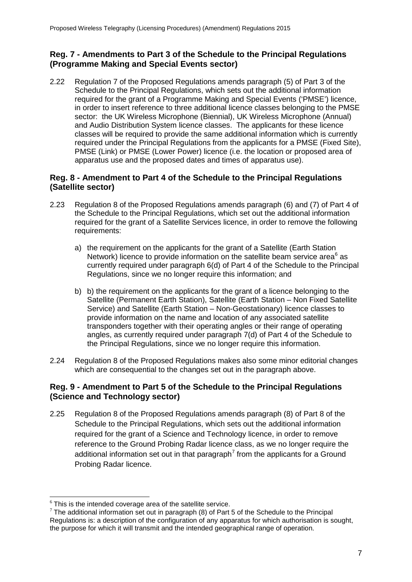### **Reg. 7 - Amendments to Part 3 of the Schedule to the Principal Regulations (Programme Making and Special Events sector)**

2.22 Regulation 7 of the Proposed Regulations amends paragraph (5) of Part 3 of the Schedule to the Principal Regulations, which sets out the additional information required for the grant of a Programme Making and Special Events ('PMSE') licence, in order to insert reference to three additional licence classes belonging to the PMSE sector: the UK Wireless Microphone (Biennial), UK Wireless Microphone (Annual) and Audio Distribution System licence classes. The applicants for these licence classes will be required to provide the same additional information which is currently required under the Principal Regulations from the applicants for a PMSE (Fixed Site), PMSE (Link) or PMSE (Lower Power) licence (i.e. the location or proposed area of apparatus use and the proposed dates and times of apparatus use).

### **Reg. 8 - Amendment to Part 4 of the Schedule to the Principal Regulations (Satellite sector)**

- 2.23 Regulation 8 of the Proposed Regulations amends paragraph (6) and (7) of Part 4 of the Schedule to the Principal Regulations, which set out the additional information required for the grant of a Satellite Services licence, in order to remove the following requirements:
	- a) the requirement on the applicants for the grant of a Satellite (Earth Station Network) licence to provide information on the satellite beam service area<sup>[6](#page-9-0)</sup> as currently required under paragraph 6(d) of Part 4 of the Schedule to the Principal Regulations, since we no longer require this information; and
	- b) b) the requirement on the applicants for the grant of a licence belonging to the Satellite (Permanent Earth Station), Satellite (Earth Station – Non Fixed Satellite Service) and Satellite (Earth Station – Non-Geostationary) licence classes to provide information on the name and location of any associated satellite transponders together with their operating angles or their range of operating angles, as currently required under paragraph 7(d) of Part 4 of the Schedule to the Principal Regulations, since we no longer require this information.
- 2.24 Regulation 8 of the Proposed Regulations makes also some minor editorial changes which are consequential to the changes set out in the paragraph above.

### **Reg. 9 - Amendment to Part 5 of the Schedule to the Principal Regulations (Science and Technology sector)**

2.25 Regulation 8 of the Proposed Regulations amends paragraph (8) of Part 8 of the Schedule to the Principal Regulations, which sets out the additional information required for the grant of a Science and Technology licence, in order to remove reference to the Ground Probing Radar licence class, as we no longer require the additional information set out in that paragraph<sup>[7](#page-9-1)</sup> from the applicants for a Ground Probing Radar licence.

 $6$  This is the intended coverage area of the satellite service. -

<span id="page-9-1"></span><span id="page-9-0"></span> $7$  The additional information set out in paragraph (8) of Part 5 of the Schedule to the Principal Regulations is: a description of the configuration of any apparatus for which authorisation is sought, the purpose for which it will transmit and the intended geographical range of operation.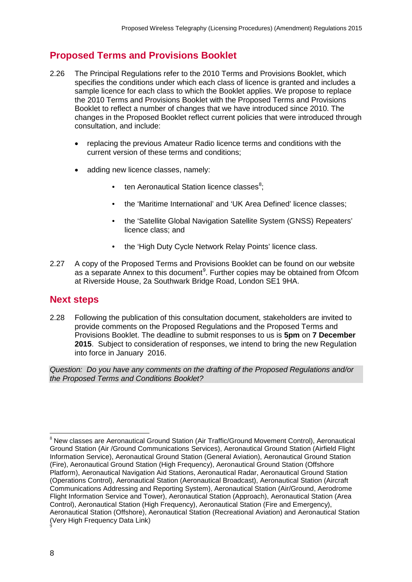## <span id="page-10-0"></span>**Proposed Terms and Provisions Booklet**

- 2.26 The Principal Regulations refer to the 2010 Terms and Provisions Booklet, which specifies the conditions under which each class of licence is granted and includes a sample licence for each class to which the Booklet applies. We propose to replace the 2010 Terms and Provisions Booklet with the Proposed Terms and Provisions Booklet to reflect a number of changes that we have introduced since 2010. The changes in the Proposed Booklet reflect current policies that were introduced through consultation, and include:
	- replacing the previous Amateur Radio licence terms and conditions with the current version of these terms and conditions;
	- adding new licence classes, namely:
		- ten Aeronautical Station licence classes<sup>[8](#page-10-2)</sup>;
		- the 'Maritime International' and 'UK Area Defined' licence classes;
		- the 'Satellite Global Navigation Satellite System (GNSS) Repeaters' licence class; and
		- the 'High Duty Cycle Network Relay Points' licence class.
- <span id="page-10-1"></span>2.27 A copy of the Proposed Terms and Provisions Booklet can be found on our website as a separate Annex to this document<sup>[9](#page-10-3)</sup>. Further copies may be obtained from Ofcom at Riverside House, 2a Southwark Bridge Road, London SE1 9HA.

### **Next steps**

2.28 Following the publication of this consultation document, stakeholders are invited to provide comments on the Proposed Regulations and the Proposed Terms and Provisions Booklet. The deadline to submit responses to us is **5pm** on **7 December 2015**. Subject to consideration of responses, we intend to bring the new Regulation into force in January 2016.

*Question: Do you have any comments on the drafting of the Proposed Regulations and/or the Proposed Terms and Conditions Booklet?*

-

<span id="page-10-3"></span><span id="page-10-2"></span><sup>8</sup> New classes are Aeronautical Ground Station (Air Traffic/Ground Movement Control), Aeronautical Ground Station (Air /Ground Communications Services), Aeronautical Ground Station (Airfield Flight Information Service), Aeronautical Ground Station (General Aviation), Aeronautical Ground Station (Fire), Aeronautical Ground Station (High Frequency), Aeronautical Ground Station (Offshore Platform), Aeronautical Navigation Aid Stations, Aeronautical Radar, Aeronautical Ground Station (Operations Control), Aeronautical Station (Aeronautical Broadcast), Aeronautical Station (Aircraft Communications Addressing and Reporting System), Aeronautical Station (Air/Ground, Aerodrome Flight Information Service and Tower), Aeronautical Station (Approach), Aeronautical Station (Area Control), Aeronautical Station (High Frequency), Aeronautical Station (Fire and Emergency), Aeronautical Station (Offshore), Aeronautical Station (Recreational Aviation) and Aeronautical Station (Very High Frequency Data Link) 9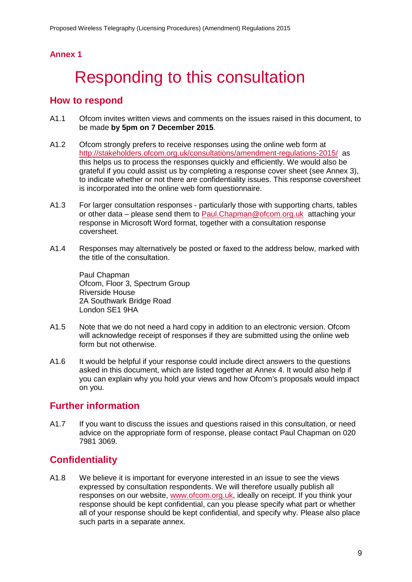# <span id="page-11-0"></span>Responding to this consultation

### **How to respond**

- A1.1 Ofcom invites written views and comments on the issues raised in this document, to be made **by 5pm on 7 December 2015**.
- A1.2 Ofcom strongly prefers to receive responses using the online web form at <http://stakeholders.ofcom.org.uk/consultations/amendment-regulations-2015/> as this helps us to process the responses quickly and efficiently. We would also be grateful if you could assist us by completing a response cover sheet (see Annex 3), to indicate whether or not there are confidentiality issues. This response coversheet is incorporated into the online web form questionnaire.
- A1.3 For larger consultation responses particularly those with supporting charts, tables or other data – please send them to [Paul.Chapman@ofcom.org.uk](mailto:paul.chapman@ofcom.org.uk) attaching your response in Microsoft Word format, together with a consultation response coversheet.
- A1.4 Responses may alternatively be posted or faxed to the address below, marked with the title of the consultation.

Paul Chapman Ofcom, Floor 3, Spectrum Group Riverside House 2A Southwark Bridge Road London SE1 9HA

- A1.5 Note that we do not need a hard copy in addition to an electronic version. Ofcom will acknowledge receipt of responses if they are submitted using the online web form but not otherwise.
- A1.6 It would be helpful if your response could include direct answers to the questions asked in this document, which are listed together at Annex 4. It would also help if you can explain why you hold your views and how Ofcom's proposals would impact on you.

## **Further information**

A1.7 If you want to discuss the issues and questions raised in this consultation, or need advice on the appropriate form of response, please contact Paul Chapman on 020 7981 3069.

# **Confidentiality**

A1.8 We believe it is important for everyone interested in an issue to see the views expressed by consultation respondents. We will therefore usually publish all responses on our website, [www.ofcom.org.uk,](http://www.ofcom.org.uk/) ideally on receipt. If you think your response should be kept confidential, can you please specify what part or whether all of your response should be kept confidential, and specify why. Please also place such parts in a separate annex.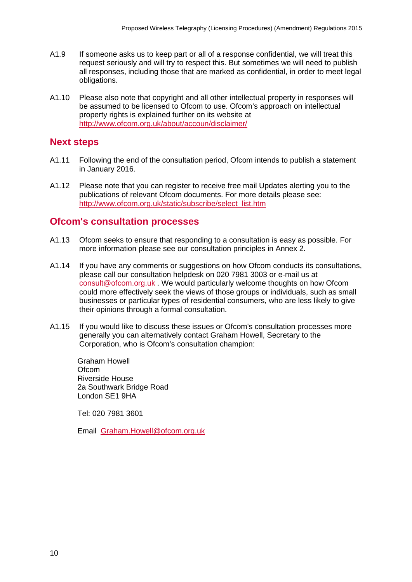- A1.9 If someone asks us to keep part or all of a response confidential, we will treat this request seriously and will try to respect this. But sometimes we will need to publish all responses, including those that are marked as confidential, in order to meet legal obligations.
- A1.10 Please also note that copyright and all other intellectual property in responses will be assumed to be licensed to Ofcom to use. Ofcom's approach on intellectual property rights is explained further on its website at <http://www.ofcom.org.uk/about/accoun/disclaimer/>

### **Next steps**

- A1.11 Following the end of the consultation period, Ofcom intends to publish a statement in January 2016.
- A1.12 Please note that you can register to receive free mail Updates alerting you to the publications of relevant Ofcom documents. For more details please see: [http://www.ofcom.org.uk/static/subscribe/select\\_list.htm](http://www.ofcom.org.uk/static/subscribe/select_list.htm)

### **Ofcom's consultation processes**

- A1.13 Ofcom seeks to ensure that responding to a consultation is easy as possible. For more information please see our consultation principles in Annex 2.
- A1.14 If you have any comments or suggestions on how Ofcom conducts its consultations, please call our consultation helpdesk on 020 7981 3003 or e-mail us at [consult@ofcom.org.uk](mailto:consult@ofcom.org.uk) . We would particularly welcome thoughts on how Ofcom could more effectively seek the views of those groups or individuals, such as small businesses or particular types of residential consumers, who are less likely to give their opinions through a formal consultation.
- A1.15 If you would like to discuss these issues or Ofcom's consultation processes more generally you can alternatively contact Graham Howell, Secretary to the Corporation, who is Ofcom's consultation champion:

Graham Howell **Ofcom** Riverside House 2a Southwark Bridge Road London SE1 9HA

Tel: 020 7981 3601

Email [Graham.Howell@ofcom.org.uk](mailto:Graham.Howell@ofcom.org.uk)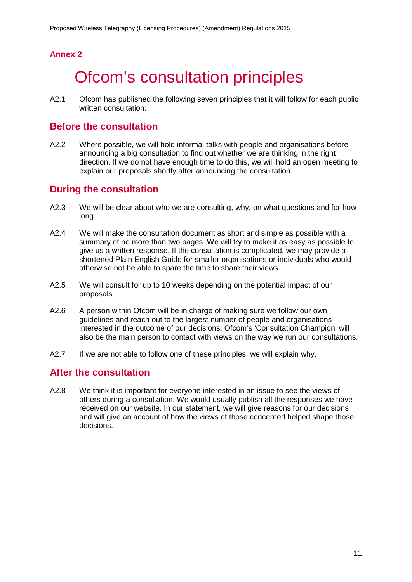# <span id="page-13-0"></span>**Ofcom's consultation principles**

A2.1 Ofcom has published the following seven principles that it will follow for each public written consultation:

### **Before the consultation**

A2.2 Where possible, we will hold informal talks with people and organisations before announcing a big consultation to find out whether we are thinking in the right direction. If we do not have enough time to do this, we will hold an open meeting to explain our proposals shortly after announcing the consultation.

### **During the consultation**

- A2.3 We will be clear about who we are consulting, why, on what questions and for how long.
- A2.4 We will make the consultation document as short and simple as possible with a summary of no more than two pages. We will try to make it as easy as possible to give us a written response. If the consultation is complicated, we may provide a shortened Plain English Guide for smaller organisations or individuals who would otherwise not be able to spare the time to share their views.
- A2.5 We will consult for up to 10 weeks depending on the potential impact of our proposals.
- A2.6 A person within Ofcom will be in charge of making sure we follow our own guidelines and reach out to the largest number of people and organisations interested in the outcome of our decisions. Ofcom's 'Consultation Champion' will also be the main person to contact with views on the way we run our consultations.
- A2.7 If we are not able to follow one of these principles, we will explain why.

### **After the consultation**

A2.8 We think it is important for everyone interested in an issue to see the views of others during a consultation. We would usually publish all the responses we have received on our website. In our statement, we will give reasons for our decisions and will give an account of how the views of those concerned helped shape those decisions.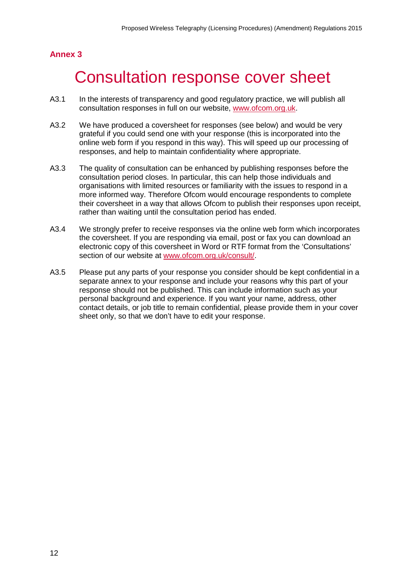# <span id="page-14-0"></span>Consultation response cover sheet

- A3.1 In the interests of transparency and good regulatory practice, we will publish all consultation responses in full on our website, [www.ofcom.org.uk.](http://www.ofcom.org.uk/)
- A3.2 We have produced a coversheet for responses (see below) and would be very grateful if you could send one with your response (this is incorporated into the online web form if you respond in this way). This will speed up our processing of responses, and help to maintain confidentiality where appropriate.
- A3.3 The quality of consultation can be enhanced by publishing responses before the consultation period closes. In particular, this can help those individuals and organisations with limited resources or familiarity with the issues to respond in a more informed way. Therefore Ofcom would encourage respondents to complete their coversheet in a way that allows Ofcom to publish their responses upon receipt, rather than waiting until the consultation period has ended.
- A3.4 We strongly prefer to receive responses via the online web form which incorporates the coversheet. If you are responding via email, post or fax you can download an electronic copy of this coversheet in Word or RTF format from the 'Consultations' section of our website at [www.ofcom.org.uk/consult/.](http://www.ofcom.org.uk/consult/)
- A3.5 Please put any parts of your response you consider should be kept confidential in a separate annex to your response and include your reasons why this part of your response should not be published. This can include information such as your personal background and experience. If you want your name, address, other contact details, or job title to remain confidential, please provide them in your cover sheet only, so that we don't have to edit your response.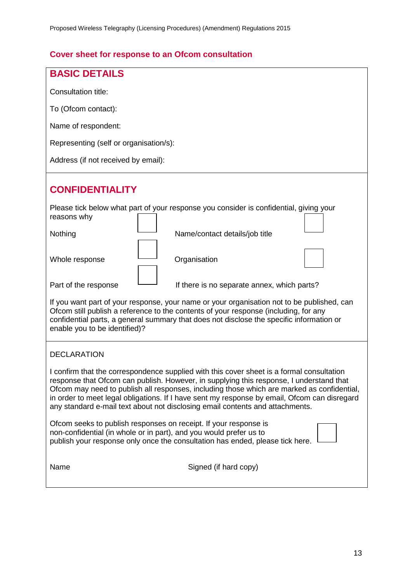## **Cover sheet for response to an Ofcom consultation**

| <b>BASIC DETAILS</b>                                                                                                                                                                                                                                                                                                                                                                                                                                                |                                             |  |  |  |  |  |  |  |  |
|---------------------------------------------------------------------------------------------------------------------------------------------------------------------------------------------------------------------------------------------------------------------------------------------------------------------------------------------------------------------------------------------------------------------------------------------------------------------|---------------------------------------------|--|--|--|--|--|--|--|--|
| Consultation title:                                                                                                                                                                                                                                                                                                                                                                                                                                                 |                                             |  |  |  |  |  |  |  |  |
| To (Ofcom contact):                                                                                                                                                                                                                                                                                                                                                                                                                                                 |                                             |  |  |  |  |  |  |  |  |
| Name of respondent:                                                                                                                                                                                                                                                                                                                                                                                                                                                 |                                             |  |  |  |  |  |  |  |  |
| Representing (self or organisation/s):                                                                                                                                                                                                                                                                                                                                                                                                                              |                                             |  |  |  |  |  |  |  |  |
| Address (if not received by email):                                                                                                                                                                                                                                                                                                                                                                                                                                 |                                             |  |  |  |  |  |  |  |  |
| <b>CONFIDENTIALITY</b>                                                                                                                                                                                                                                                                                                                                                                                                                                              |                                             |  |  |  |  |  |  |  |  |
| Please tick below what part of your response you consider is confidential, giving your<br>reasons why                                                                                                                                                                                                                                                                                                                                                               |                                             |  |  |  |  |  |  |  |  |
| Nothing                                                                                                                                                                                                                                                                                                                                                                                                                                                             | Name/contact details/job title              |  |  |  |  |  |  |  |  |
| Whole response                                                                                                                                                                                                                                                                                                                                                                                                                                                      | Organisation                                |  |  |  |  |  |  |  |  |
| Part of the response                                                                                                                                                                                                                                                                                                                                                                                                                                                | If there is no separate annex, which parts? |  |  |  |  |  |  |  |  |
| If you want part of your response, your name or your organisation not to be published, can<br>Ofcom still publish a reference to the contents of your response (including, for any<br>confidential parts, a general summary that does not disclose the specific information or<br>enable you to be identified)?                                                                                                                                                     |                                             |  |  |  |  |  |  |  |  |
| <b>DECLARATION</b>                                                                                                                                                                                                                                                                                                                                                                                                                                                  |                                             |  |  |  |  |  |  |  |  |
| I confirm that the correspondence supplied with this cover sheet is a formal consultation<br>response that Ofcom can publish. However, in supplying this response, I understand that<br>Ofcom may need to publish all responses, including those which are marked as confidential,<br>in order to meet legal obligations. If I have sent my response by email, Ofcom can disregard<br>any standard e-mail text about not disclosing email contents and attachments. |                                             |  |  |  |  |  |  |  |  |
| Ofcom seeks to publish responses on receipt. If your response is<br>non-confidential (in whole or in part), and you would prefer us to<br>publish your response only once the consultation has ended, please tick here.                                                                                                                                                                                                                                             |                                             |  |  |  |  |  |  |  |  |
| Name                                                                                                                                                                                                                                                                                                                                                                                                                                                                | Signed (if hard copy)                       |  |  |  |  |  |  |  |  |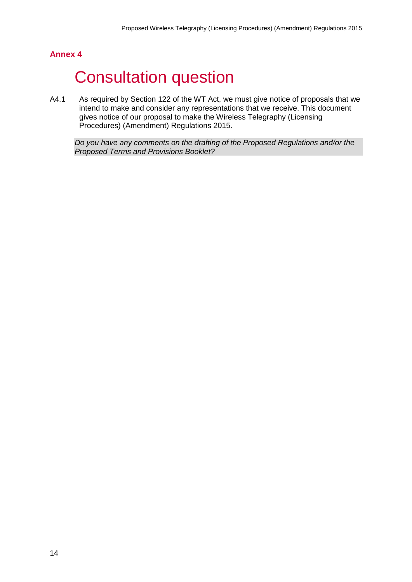# <span id="page-16-0"></span>**Consultation question**

A4.1 As required by Section 122 of the WT Act, we must give notice of proposals that we intend to make and consider any representations that we receive. This document gives notice of our proposal to make the Wireless Telegraphy (Licensing Procedures) (Amendment) Regulations 2015.

*Do you have any comments on the drafting of the Proposed Regulations and/or the Proposed Terms and Provisions Booklet?*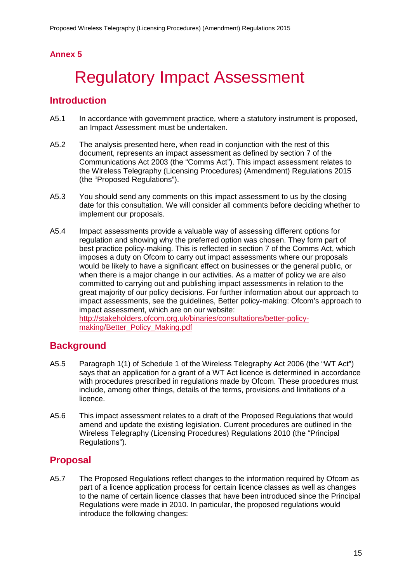# <span id="page-17-0"></span>5 Regulatory Impact Assessment

## **Introduction**

- A5.1 In accordance with government practice, where a statutory instrument is proposed, an Impact Assessment must be undertaken.
- A5.2 The analysis presented here, when read in conjunction with the rest of this document, represents an impact assessment as defined by section 7 of the Communications Act 2003 (the "Comms Act"). This impact assessment relates to the Wireless Telegraphy (Licensing Procedures) (Amendment) Regulations 2015 (the "Proposed Regulations").
- A5.3 You should send any comments on this impact assessment to us by the closing date for this consultation. We will consider all comments before deciding whether to implement our proposals.
- A5.4 Impact assessments provide a valuable way of assessing different options for regulation and showing why the preferred option was chosen. They form part of best practice policy-making. This is reflected in section 7 of the Comms Act, which imposes a duty on Ofcom to carry out impact assessments where our proposals would be likely to have a significant effect on businesses or the general public, or when there is a major change in our activities. As a matter of policy we are also committed to carrying out and publishing impact assessments in relation to the great majority of our policy decisions. For further information about our approach to impact assessments, see the guidelines, Better policy-making: Ofcom's approach to impact assessment, which are on our website: [http://stakeholders.ofcom.org.uk/binaries/consultations/better-policy-](http://stakeholders.ofcom.org.uk/binaries/consultations/better-policy-making/Better_Policy_Making.pdf)

# [making/Better\\_Policy\\_Making.pdf](http://stakeholders.ofcom.org.uk/binaries/consultations/better-policy-making/Better_Policy_Making.pdf)

### **Background**

- A5.5 Paragraph 1(1) of Schedule 1 of the Wireless Telegraphy Act 2006 (the "WT Act") says that an application for a grant of a WT Act licence is determined in accordance with procedures prescribed in regulations made by Ofcom. These procedures must include, among other things, details of the terms, provisions and limitations of a licence.
- A5.6 This impact assessment relates to a draft of the Proposed Regulations that would amend and update the existing legislation. Current procedures are outlined in the Wireless Telegraphy (Licensing Procedures) Regulations 2010 (the "Principal Regulations").

### **Proposal**

A5.7 The Proposed Regulations reflect changes to the information required by Ofcom as part of a licence application process for certain licence classes as well as changes to the name of certain licence classes that have been introduced since the Principal Regulations were made in 2010. In particular, the proposed regulations would introduce the following changes: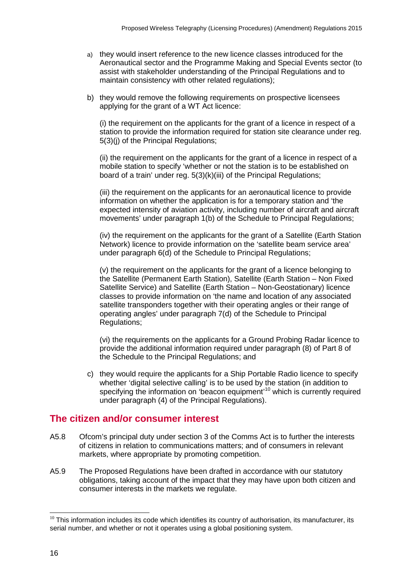- a) they would insert reference to the new licence classes introduced for the Aeronautical sector and the Programme Making and Special Events sector (to assist with stakeholder understanding of the Principal Regulations and to maintain consistency with other related regulations);
- b) they would remove the following requirements on prospective licensees applying for the grant of a WT Act licence:

(i) the requirement on the applicants for the grant of a licence in respect of a station to provide the information required for station site clearance under reg. 5(3)(j) of the Principal Regulations;

(ii) the requirement on the applicants for the grant of a licence in respect of a mobile station to specify 'whether or not the station is to be established on board of a train' under reg. 5(3)(k)(iii) of the Principal Regulations;

(iii) the requirement on the applicants for an aeronautical licence to provide information on whether the application is for a temporary station and 'the expected intensity of aviation activity, including number of aircraft and aircraft movements' under paragraph 1(b) of the Schedule to Principal Regulations;

(iv) the requirement on the applicants for the grant of a Satellite (Earth Station Network) licence to provide information on the 'satellite beam service area' under paragraph 6(d) of the Schedule to Principal Regulations;

(v) the requirement on the applicants for the grant of a licence belonging to the Satellite (Permanent Earth Station), Satellite (Earth Station – Non Fixed Satellite Service) and Satellite (Earth Station – Non-Geostationary) licence classes to provide information on 'the name and location of any associated satellite transponders together with their operating angles or their range of operating angles' under paragraph 7(d) of the Schedule to Principal Regulations;

(vi) the requirements on the applicants for a Ground Probing Radar licence to provide the additional information required under paragraph (8) of Part 8 of the Schedule to the Principal Regulations; and

c) they would require the applicants for a Ship Portable Radio licence to specify whether 'digital selective calling' is to be used by the station (in addition to specifying the information on 'beacon equipment'<sup>[10](#page-18-0)</sup> which is currently required under paragraph (4) of the Principal Regulations).

### **The citizen and/or consumer interest**

- A5.8 Ofcom's principal duty under section 3 of the Comms Act is to further the interests of citizens in relation to communications matters; and of consumers in relevant markets, where appropriate by promoting competition.
- A5.9 The Proposed Regulations have been drafted in accordance with our statutory obligations, taking account of the impact that they may have upon both citizen and consumer interests in the markets we regulate.

<span id="page-18-0"></span> $10$  This information includes its code which identifies its country of authorisation, its manufacturer, its serial number, and whether or not it operates using a global positioning system. -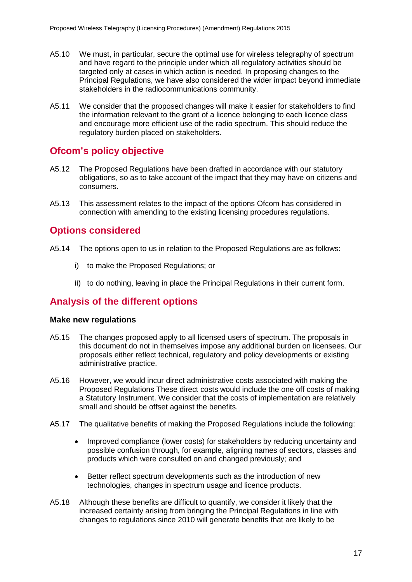- A5.10 We must, in particular, secure the optimal use for wireless telegraphy of spectrum and have regard to the principle under which all regulatory activities should be targeted only at cases in which action is needed. In proposing changes to the Principal Regulations, we have also considered the wider impact beyond immediate stakeholders in the radiocommunications community.
- A5.11 We consider that the proposed changes will make it easier for stakeholders to find the information relevant to the grant of a licence belonging to each licence class and encourage more efficient use of the radio spectrum. This should reduce the regulatory burden placed on stakeholders.

### **Ofcom's policy objective**

- A5.12 The Proposed Regulations have been drafted in accordance with our statutory obligations, so as to take account of the impact that they may have on citizens and consumers.
- A5.13 This assessment relates to the impact of the options Ofcom has considered in connection with amending to the existing licensing procedures regulations.

### **Options considered**

- A5.14 The options open to us in relation to the Proposed Regulations are as follows:
	- i) to make the Proposed Regulations; or
	- ii) to do nothing, leaving in place the Principal Regulations in their current form.

### **Analysis of the different options**

### **Make new regulations**

- A5.15 The changes proposed apply to all licensed users of spectrum. The proposals in this document do not in themselves impose any additional burden on licensees. Our proposals either reflect technical, regulatory and policy developments or existing administrative practice.
- A5.16 However, we would incur direct administrative costs associated with making the Proposed Regulations These direct costs would include the one off costs of making a Statutory Instrument. We consider that the costs of implementation are relatively small and should be offset against the benefits.
- A5.17 The qualitative benefits of making the Proposed Regulations include the following:
	- Improved compliance (lower costs) for stakeholders by reducing uncertainty and possible confusion through, for example, aligning names of sectors, classes and products which were consulted on and changed previously; and
	- Better reflect spectrum developments such as the introduction of new technologies, changes in spectrum usage and licence products.
- A5.18 Although these benefits are difficult to quantify, we consider it likely that the increased certainty arising from bringing the Principal Regulations in line with changes to regulations since 2010 will generate benefits that are likely to be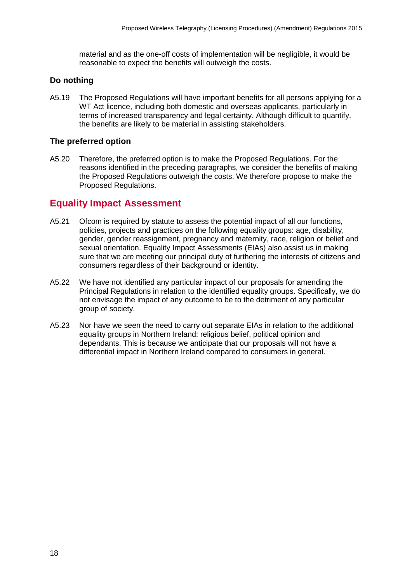material and as the one-off costs of implementation will be negligible, it would be reasonable to expect the benefits will outweigh the costs.

### **Do nothing**

A5.19 The Proposed Regulations will have important benefits for all persons applying for a WT Act licence, including both domestic and overseas applicants, particularly in terms of increased transparency and legal certainty. Although difficult to quantify, the benefits are likely to be material in assisting stakeholders.

### **The preferred option**

A5.20 Therefore, the preferred option is to make the Proposed Regulations. For the reasons identified in the preceding paragraphs, we consider the benefits of making the Proposed Regulations outweigh the costs. We therefore propose to make the Proposed Regulations.

### **Equality Impact Assessment**

- A5.21 Ofcom is required by statute to assess the potential impact of all our functions, policies, projects and practices on the following equality groups: age, disability, gender, gender reassignment, pregnancy and maternity, race, religion or belief and sexual orientation. Equality Impact Assessments (EIAs) also assist us in making sure that we are meeting our principal duty of furthering the interests of citizens and consumers regardless of their background or identity.
- A5.22 We have not identified any particular impact of our proposals for amending the Principal Regulations in relation to the identified equality groups. Specifically, we do not envisage the impact of any outcome to be to the detriment of any particular group of society.
- A5.23 Nor have we seen the need to carry out separate EIAs in relation to the additional equality groups in Northern Ireland: religious belief, political opinion and dependants. This is because we anticipate that our proposals will not have a differential impact in Northern Ireland compared to consumers in general.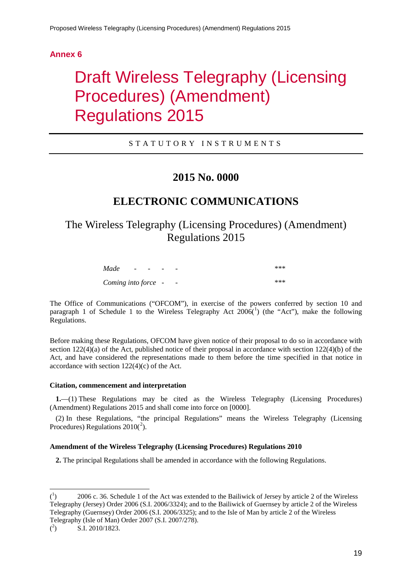# <span id="page-21-0"></span>**Draft Wireless Telegraphy (Licensing** Procedures) (Amendment) Regulations 2015

### STATUTORY INSTRUMENTS

## **2015 No. 0000**

## **ELECTRONIC COMMUNICATIONS**

The Wireless Telegraphy (Licensing Procedures) (Amendment) Regulations 2015

| Made                | $\overline{\phantom{a}}$ | - - | - | -                        | *** |
|---------------------|--------------------------|-----|---|--------------------------|-----|
| Coming into force - |                          |     |   | $\overline{\phantom{a}}$ | *** |

The Office of Communications ("OFCOM"), in exercise of the powers conferred by section 10 and paragraph [1](#page-21-1) of Schedule 1 to the Wireless Telegraphy Act  $2006(^1)$  (the "Act"), make the following Regulations.

Before making these Regulations, OFCOM have given notice of their proposal to do so in accordance with section  $122(4)(a)$  of the Act, published notice of their proposal in accordance with section  $122(4)(b)$  of the Act, and have considered the representations made to them before the time specified in that notice in accordance with section 122(4)(c) of the Act.

#### **Citation, commencement and interpretation**

**1.**—(1) These Regulations may be cited as the Wireless Telegraphy (Licensing Procedures) (Amendment) Regulations 2015 and shall come into force on [0000].

(2) In these Regulations, "the principal Regulations" means the Wireless Telegraphy (Licensing Procedures) Regulations  $2010(^2)$  $2010(^2)$ .

#### **Amendment of the Wireless Telegraphy (Licensing Procedures) Regulations 2010**

**2.** The principal Regulations shall be amended in accordance with the following Regulations.

<span id="page-21-1"></span> $\frac{1}{\binom{1}{1}}$ ) 2006 c. 36. Schedule 1 of the Act was extended to the Bailiwick of Jersey by article 2 of the Wireless Telegraphy (Jersey) Order 2006 (S.I. 2006/3324); and to the Bailiwick of Guernsey by article 2 of the Wireless Telegraphy (Guernsey) Order 2006 (S.I. 2006/3325); and to the Isle of Man by article 2 of the Wireless Telegraphy (Isle of Man) Order 2007 (S.I. 2007/278).

<span id="page-21-2"></span> $($ <sup>2</sup> ) S.I. 2010/1823.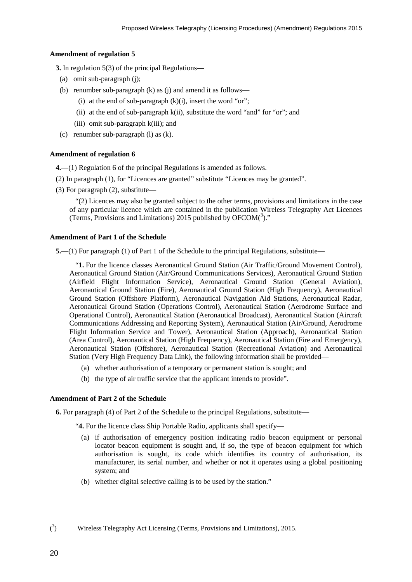#### **Amendment of regulation 5**

**3.** In regulation 5(3) of the principal Regulations—

- (a) omit sub-paragraph (j);
- (b) renumber sub-paragraph (k) as (j) and amend it as follows—
	- (i) at the end of sub-paragraph  $(k)(i)$ , insert the word "or";
	- (ii) at the end of sub-paragraph k(ii), substitute the word "and" for "or"; and
	- (iii) omit sub-paragraph k(iii); and
- (c) renumber sub-paragraph (l) as (k).

#### **Amendment of regulation 6**

**4.**—(1) Regulation 6 of the principal Regulations is amended as follows.

- (2) In paragraph (1), for "Licences are granted" substitute "Licences may be granted".
- (3) For paragraph (2), substitute—

"(2) Licences may also be granted subject to the other terms, provisions and limitations in the case of any particular licence which are contained in the publication Wireless Telegraphy Act Licences (Terms, Provisions and Limitations) 2015 published by  $OFCOM(^3)$  $OFCOM(^3)$  $OFCOM(^3)$ ."

#### **Amendment of Part 1 of the Schedule**

**5.**—(1) For paragraph (1) of Part 1 of the Schedule to the principal Regulations, substitute—

"**1.** For the licence classes Aeronautical Ground Station (Air Traffic/Ground Movement Control), Aeronautical Ground Station (Air/Ground Communications Services), Aeronautical Ground Station (Airfield Flight Information Service), Aeronautical Ground Station (General Aviation), Aeronautical Ground Station (Fire), Aeronautical Ground Station (High Frequency), Aeronautical Ground Station (Offshore Platform), Aeronautical Navigation Aid Stations, Aeronautical Radar, Aeronautical Ground Station (Operations Control), Aeronautical Station (Aerodrome Surface and Operational Control), Aeronautical Station (Aeronautical Broadcast), Aeronautical Station (Aircraft Communications Addressing and Reporting System), Aeronautical Station (Air/Ground, Aerodrome Flight Information Service and Tower), Aeronautical Station (Approach), Aeronautical Station (Area Control), Aeronautical Station (High Frequency), Aeronautical Station (Fire and Emergency), Aeronautical Station (Offshore), Aeronautical Station (Recreational Aviation) and Aeronautical Station (Very High Frequency Data Link), the following information shall be provided—

- (a) whether authorisation of a temporary or permanent station is sought; and
- (b) the type of air traffic service that the applicant intends to provide".

#### **Amendment of Part 2 of the Schedule**

**6.** For paragraph (4) of Part 2 of the Schedule to the principal Regulations, substitute—

"**4.** For the licence class Ship Portable Radio, applicants shall specify—

- (a) if authorisation of emergency position indicating radio beacon equipment or personal locator beacon equipment is sought and, if so, the type of beacon equipment for which authorisation is sought, its code which identifies its country of authorisation, its manufacturer, its serial number, and whether or not it operates using a global positioning system; and
- (b) whether digital selective calling is to be used by the station."

<span id="page-22-0"></span> $\frac{1}{3}$ ) Wireless Telegraphy Act Licensing (Terms, Provisions and Limitations), 2015.